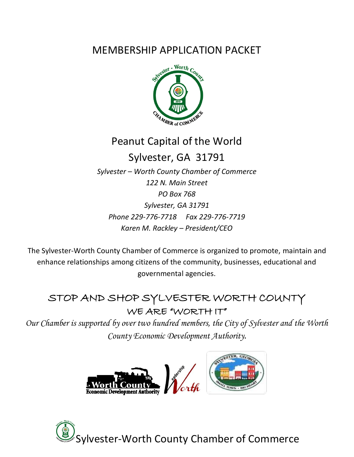### MEMBERSHIP APPLICATION PACKET



### Peanut Capital of the World

## Sylvester, GA 31791

*Sylvester – Worth County Chamber of Commerce 122 N. Main Street PO Box 768 Sylvester, GA 31791 Phone 229-776-7718 Fax 229-776-7719 Karen M. Rackley – President/CEO*

The Sylvester-Worth County Chamber of Commerce is organized to promote, maintain and enhance relationships among citizens of the community, businesses, educational and governmental agencies.

### STOP AND SHOP SYLVESTER WORTH COUNTY WE ARE "WORTH IT"

*Our Chamber is supported by over two hundred members, the City of Sylvester and the Worth County Economic Development Authority.*



ylvester-Worth County Chamber of Commerce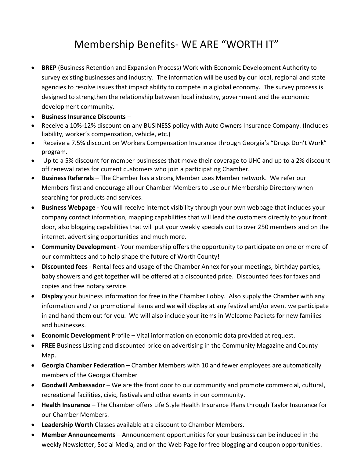### Membership Benefits- WE ARE "WORTH IT"

- **BREP** (Business Retention and Expansion Process) Work with Economic Development Authority to survey existing businesses and industry. The information will be used by our local, regional and state agencies to resolve issues that impact ability to compete in a global economy. The survey process is designed to strengthen the relationship between local industry, government and the economic development community.
- **Business Insurance Discounts** –
- Receive a 10%-12% discount on any BUSINESS policy with Auto Owners Insurance Company. (Includes liability, worker's compensation, vehicle, etc.)
- Receive a 7.5% discount on Workers Compensation Insurance through Georgia's "Drugs Don't Work" program.
- Up to a 5% discount for member businesses that move their coverage to UHC and up to a 2% discount off renewal rates for current customers who join a participating Chamber.
- **Business Referrals** The Chamber has a strong Member uses Member network. We refer our Members first and encourage all our Chamber Members to use our Membership Directory when searching for products and services.
- **Business Webpage** You will receive internet visibility through your own webpage that includes your company contact information, mapping capabilities that will lead the customers directly to your front door, also blogging capabilities that will put your weekly specials out to over 250 members and on the internet, advertising opportunities and much more.
- **Community Development** Your membership offers the opportunity to participate on one or more of our committees and to help shape the future of Worth County!
- **Discounted fees** Rental fees and usage of the Chamber Annex for your meetings, birthday parties, baby showers and get together will be offered at a discounted price. Discounted fees for faxes and copies and free notary service.
- **Display** your business information for free in the Chamber Lobby. Also supply the Chamber with any information and / or promotional items and we will display at any festival and/or event we participate in and hand them out for you. We will also include your items in Welcome Packets for new families and businesses.
- **Economic Development** Profile Vital information on economic data provided at request.
- **FREE** Business Listing and discounted price on advertising in the Community Magazine and County Map.
- **Georgia Chamber Federation**  Chamber Members with 10 and fewer employees are automatically members of the Georgia Chamber
- **Goodwill Ambassador** We are the front door to our community and promote commercial, cultural, recreational facilities, civic, festivals and other events in our community.
- **Health Insurance**  The Chamber offers Life Style Health Insurance Plans through Taylor Insurance for our Chamber Members.
- **Leadership Worth** Classes available at a discount to Chamber Members.
- **Member Announcements** Announcement opportunities for your business can be included in the weekly Newsletter, Social Media, and on the Web Page for free blogging and coupon opportunities.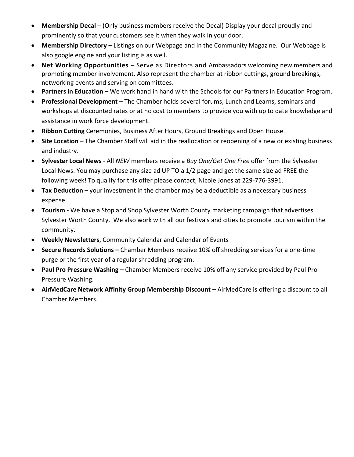- **Membership Decal** (Only business members receive the Decal) Display your decal proudly and prominently so that your customers see it when they walk in your door.
- **Membership Directory** Listings on our Webpage and in the Community Magazine. Our Webpage is also google engine and your listing is as well.
- **Net Working Opportunities** Serve as Directors and Ambassadors welcoming new members and promoting member involvement. Also represent the chamber at ribbon cuttings, ground breakings, networking events and serving on committees.
- **Partners in Education** We work hand in hand with the Schools for our Partners in Education Program.
- **Professional Development** The Chamber holds several forums, Lunch and Learns, seminars and workshops at discounted rates or at no cost to members to provide you with up to date knowledge and assistance in work force development.
- **Ribbon Cutting** Ceremonies, Business After Hours, Ground Breakings and Open House.
- **Site Location** The Chamber Staff will aid in the reallocation or reopening of a new or existing business and industry.
- **Sylvester Local News**  All *NEW* members receive a *Buy One/Get One Free* offer from the Sylvester Local News. You may purchase any size ad UP TO a 1/2 page and get the same size ad FREE the following week! To qualify for this offer please contact, Nicole Jones at 229-776-3991.
- **Tax Deduction** your investment in the chamber may be a deductible as a necessary business expense.
- **Tourism -** We have a Stop and Shop Sylvester Worth County marketing campaign that advertises Sylvester Worth County. We also work with all our festivals and cities to promote tourism within the community.
- **Weekly Newsletters**, Community Calendar and Calendar of Events
- **Secure Records Solutions -** Chamber Members receive 10% off shredding services for a one-time purge or the first year of a regular shredding program.
- **Paul Pro Pressure Washing –** Chamber Members receive 10% off any service provided by Paul Pro Pressure Washing.
- **AirMedCare Network Affinity Group Membership Discount –** AirMedCare is offering a discount to all Chamber Members.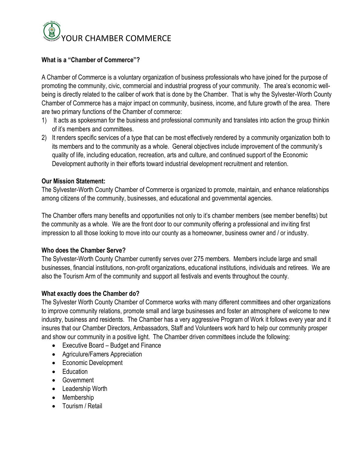

#### **What is a "Chamber of Commerce"?**

A Chamber of Commerce is a voluntary organization of business professionals who have joined for the purpose of promoting the community, civic, commercial and industrial progress of your community. The area's economic wellbeing is directly related to the caliber of work that is done by the Chamber. That is why the Sylvester-Worth County Chamber of Commerce has a major impact on community, business, income, and future growth of the area. There are two primary functions of the Chamber of commerce:

- 1) It acts as spokesman for the business and professional community and translates into action the group thinkin of it's members and committees.
- 2) It renders specific services of a type that can be most effectively rendered by a community organization both to its members and to the community as a whole. General objectives include improvement of the community's quality of life, including education, recreation, arts and culture, and continued support of the Economic Development authority in their efforts toward industrial development recruitment and retention.

#### **Our Mission Statement:**

The Sylvester-Worth County Chamber of Commerce is organized to promote, maintain, and enhance relationships among citizens of the community, businesses, and educational and governmental agencies.

The Chamber offers many benefits and opportunities not only to it's chamber members (see member benefits) but the community as a whole. We are the front door to our community offering a professional and inviting first impression to all those looking to move into our county as a homeowner, business owner and / or industry.

#### **Who does the Chamber Serve?**

The Sylvester-Worth County Chamber currently serves over 275 members. Members include large and small businesses, financial institutions, non-profit organizations, educational institutions, individuals and retirees. We are also the Tourism Arm of the community and support all festivals and events throughout the county.

#### **What exactly does the Chamber do?**

The Sylvester Worth County Chamber of Commerce works with many different committees and other organizations to improve community relations, promote small and large businesses and foster an atmosphere of welcome to new industry, business and residents. The Chamber has a very aggressive Program of Work it follows every year and it insures that our Chamber Directors, Ambassadors, Staff and Volunteers work hard to help our community prosper and show our community in a positive light. The Chamber driven committees include the following:

- Executive Board Budget and Finance
- Agriculure/Famers Appreciation
- Economic Development
- Education
- Government
- Leadership Worth
- Membership
- Tourism / Retail